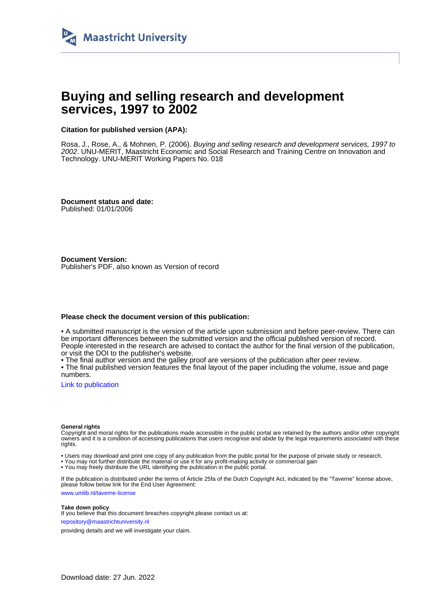

# **Buying and selling research and development services, 1997 to 2002**

## **Citation for published version (APA):**

Rosa, J., Rose, A., & Mohnen, P. (2006). Buying and selling research and development services, 1997 to 2002. UNU-MERIT, Maastricht Economic and Social Research and Training Centre on Innovation and Technology. UNU-MERIT Working Papers No. 018

**Document status and date:** Published: 01/01/2006

**Document Version:** Publisher's PDF, also known as Version of record

#### **Please check the document version of this publication:**

• A submitted manuscript is the version of the article upon submission and before peer-review. There can be important differences between the submitted version and the official published version of record. People interested in the research are advised to contact the author for the final version of the publication, or visit the DOI to the publisher's website.

• The final author version and the galley proof are versions of the publication after peer review.

• The final published version features the final layout of the paper including the volume, issue and page numbers.

[Link to publication](https://cris.maastrichtuniversity.nl/en/publications/8290c193-c9b7-42fc-9f6d-9df06ade30e5)

#### **General rights**

Copyright and moral rights for the publications made accessible in the public portal are retained by the authors and/or other copyright owners and it is a condition of accessing publications that users recognise and abide by the legal requirements associated with these rights.

• Users may download and print one copy of any publication from the public portal for the purpose of private study or research.

• You may not further distribute the material or use it for any profit-making activity or commercial gain

• You may freely distribute the URL identifying the publication in the public portal.

If the publication is distributed under the terms of Article 25fa of the Dutch Copyright Act, indicated by the "Taverne" license above, please follow below link for the End User Agreement:

www.umlib.nl/taverne-license

#### **Take down policy**

If you believe that this document breaches copyright please contact us at: repository@maastrichtuniversity.nl

providing details and we will investigate your claim.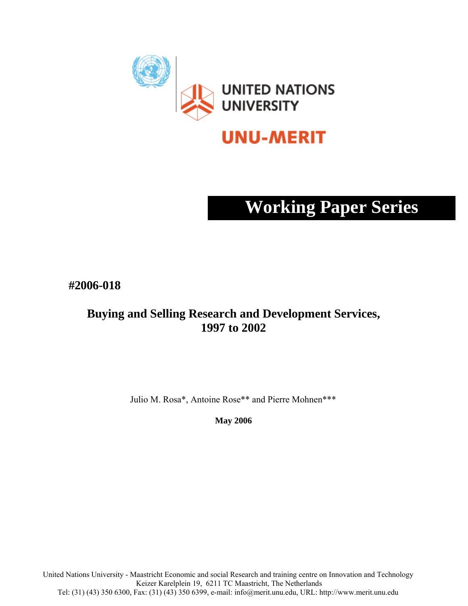

# **UNU-MERIT**

# **Working Paper Series**

**#2006-018** 

# **Buying and Selling Research and Development Services, 1997 to 2002**

Julio M. Rosa\*, Antoine Rose\*\* and Pierre Mohnen\*\*\*

**May 2006** 

United Nations University - Maastricht Economic and social Research and training centre on Innovation and Technology Keizer Karelplein 19, 6211 TC Maastricht, The Netherlands Tel: (31) (43) 350 6300, Fax: (31) (43) 350 6399, e-mail: info@merit.unu.edu, URL: http://www.merit.unu.edu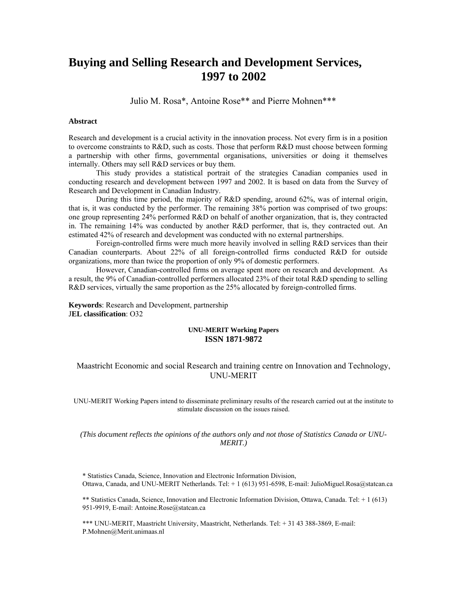# **Buying and Selling Research and Development Services, 1997 to 2002**

Julio M. Rosa\*, Antoine Rose\*\* and Pierre Mohnen\*\*\*

#### **Abstract**

Research and development is a crucial activity in the innovation process. Not every firm is in a position to overcome constraints to R&D, such as costs. Those that perform R&D must choose between forming a partnership with other firms, governmental organisations, universities or doing it themselves internally. Others may sell R&D services or buy them.

 This study provides a statistical portrait of the strategies Canadian companies used in conducting research and development between 1997 and 2002. It is based on data from the Survey of Research and Development in Canadian Industry.

 During this time period, the majority of R&D spending, around 62%, was of internal origin, that is, it was conducted by the performer. The remaining 38% portion was comprised of two groups: one group representing 24% performed R&D on behalf of another organization, that is, they contracted in. The remaining 14% was conducted by another R&D performer, that is, they contracted out. An estimated 42% of research and development was conducted with no external partnerships.

 Foreign-controlled firms were much more heavily involved in selling R&D services than their Canadian counterparts. About 22% of all foreign-controlled firms conducted R&D for outside organizations, more than twice the proportion of only 9% of domestic performers.

 However, Canadian-controlled firms on average spent more on research and development. As a result, the 9% of Canadian-controlled performers allocated 23% of their total R&D spending to selling R&D services, virtually the same proportion as the 25% allocated by foreign-controlled firms.

**Keywords**: Research and Development, partnership J**EL classification**: O32

#### **UNU-MERIT Working Papers ISSN 1871-9872**

## Maastricht Economic and social Research and training centre on Innovation and Technology, UNU-MERIT

UNU-MERIT Working Papers intend to disseminate preliminary results of the research carried out at the institute to stimulate discussion on the issues raised.

#### *(This document reflects the opinions of the authors only and not those of Statistics Canada or UNU-MERIT.)*

\* Statistics Canada, Science, Innovation and Electronic Information Division, Ottawa, Canada, and UNU-MERIT Netherlands. Tel: + 1 (613) 951-6598, E-mail: JulioMiguel.Rosa@statcan.ca

\*\* Statistics Canada, Science, Innovation and Electronic Information Division, Ottawa, Canada. Tel: + 1 (613) 951-9919, E-mail: Antoine.Rose@statcan.ca

\*\*\* UNU-MERIT, Maastricht University, Maastricht, Netherlands. Tel: + 31 43 388-3869, E-mail: P.Mohnen@Merit.unimaas.nl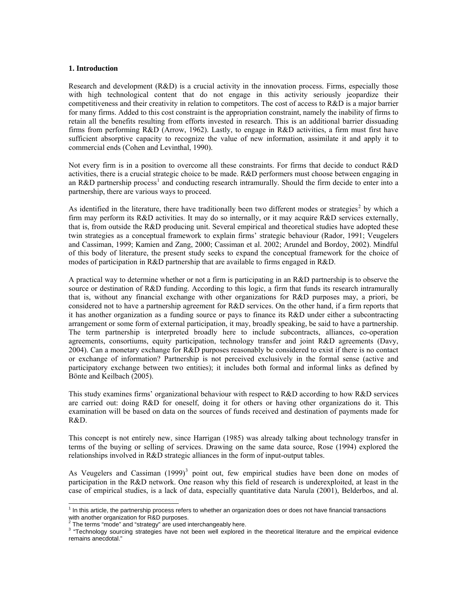#### **1. Introduction**

Research and development (R&D) is a crucial activity in the innovation process. Firms, especially those with high technological content that do not engage in this activity seriously jeopardize their competitiveness and their creativity in relation to competitors. The cost of access to R&D is a major barrier for many firms. Added to this cost constraint is the appropriation constraint, namely the inability of firms to retain all the benefits resulting from efforts invested in research. This is an additional barrier dissuading firms from performing R&D (Arrow, 1962). Lastly, to engage in R&D activities, a firm must first have sufficient absorptive capacity to recognize the value of new information, assimilate it and apply it to commercial ends (Cohen and Levinthal, 1990).

Not every firm is in a position to overcome all these constraints. For firms that decide to conduct R&D activities, there is a crucial strategic choice to be made. R&D performers must choose between engaging in an R&D partnership process<sup>[1](#page-5-0)</sup> and conducting research intramurally. Should the firm decide to enter into a partnership, there are various ways to proceed.

As identified in the literature, there have traditionally been two different modes or strategies<sup>[2](#page-5-1)</sup> by which a firm may perform its R&D activities. It may do so internally, or it may acquire R&D services externally, that is, from outside the R&D producing unit. Several empirical and theoretical studies have adopted these twin strategies as a conceptual framework to explain firms' strategic behaviour (Rador, 1991; Veugelers and Cassiman, 1999; Kamien and Zang, 2000; Cassiman et al. 2002; Arundel and Bordoy, 2002). Mindful of this body of literature, the present study seeks to expand the conceptual framework for the choice of modes of participation in R&D partnership that are available to firms engaged in R&D.

A practical way to determine whether or not a firm is participating in an R&D partnership is to observe the source or destination of R&D funding. According to this logic, a firm that funds its research intramurally that is, without any financial exchange with other organizations for R&D purposes may, a priori, be considered not to have a partnership agreement for R&D services. On the other hand, if a firm reports that it has another organization as a funding source or pays to finance its R&D under either a subcontracting arrangement or some form of external participation, it may, broadly speaking, be said to have a partnership. The term partnership is interpreted broadly here to include subcontracts, alliances, co-operation agreements, consortiums, equity participation, technology transfer and joint R&D agreements (Davy, 2004). Can a monetary exchange for R&D purposes reasonably be considered to exist if there is no contact or exchange of information? Partnership is not perceived exclusively in the formal sense (active and participatory exchange between two entities); it includes both formal and informal links as defined by Bönte and Keilbach (2005).

This study examines firms' organizational behaviour with respect to R&D according to how R&D services are carried out: doing R&D for oneself, doing it for others or having other organizations do it. This examination will be based on data on the sources of funds received and destination of payments made for R&D.

This concept is not entirely new, since Harrigan (1985) was already talking about technology transfer in terms of the buying or selling of services. Drawing on the same data source, Rose (1994) explored the relationships involved in R&D strategic alliances in the form of input-output tables.

As Veugelers and Cassiman  $(1999)^3$  $(1999)^3$  point out, few empirical studies have been done on modes of participation in the R&D network. One reason why this field of research is underexploited, at least in the case of empirical studies, is a lack of data, especially quantitative data Narula (2001), Belderbos, and al.

<span id="page-5-0"></span> 1 In this article, the partnership process refers to whether an organization does or does not have financial transactions with another organization for R&D purposes.<br><sup>2</sup> The terms "mode" and "strategy" are used in

<span id="page-5-1"></span>The terms "mode" and "strategy" are used interchangeably here.

<span id="page-5-2"></span><sup>&</sup>lt;sup>3</sup> "Technology sourcing strategies have not been well explored in the theoretical literature and the empirical evidence remains anecdotal."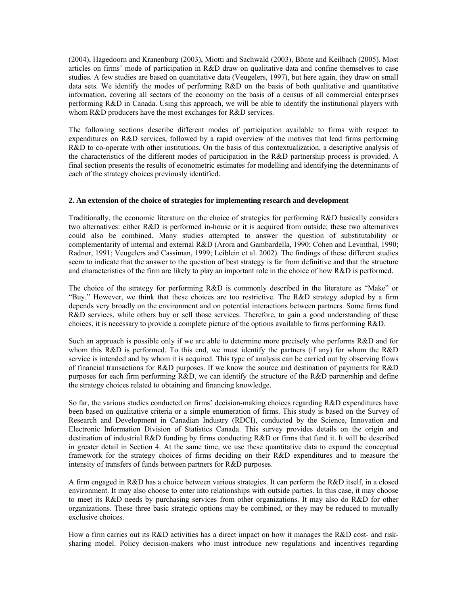(2004), Hagedoorn and Kranenburg (2003), Miotti and Sachwald (2003), Bönte and Keilbach (2005). Most articles on firms' mode of participation in R&D draw on qualitative data and confine themselves to case studies. A few studies are based on quantitative data (Veugelers, 1997), but here again, they draw on small data sets. We identify the modes of performing R&D on the basis of both qualitative and quantitative information, covering all sectors of the economy on the basis of a census of all commercial enterprises performing R&D in Canada. Using this approach, we will be able to identify the institutional players with whom R&D producers have the most exchanges for R&D services.

The following sections describe different modes of participation available to firms with respect to expenditures on R&D services, followed by a rapid overview of the motives that lead firms performing R&D to co-operate with other institutions. On the basis of this contextualization, a descriptive analysis of the characteristics of the different modes of participation in the R&D partnership process is provided. A final section presents the results of econometric estimates for modelling and identifying the determinants of each of the strategy choices previously identified.

#### **2. An extension of the choice of strategies for implementing research and development**

Traditionally, the economic literature on the choice of strategies for performing R&D basically considers two alternatives: either R&D is performed in-house or it is acquired from outside; these two alternatives could also be combined. Many studies attempted to answer the question of substitutability or complementarity of internal and external R&D (Arora and Gambardella, 1990; Cohen and Levinthal, 1990; Radnor, 1991; Veugelers and Cassiman, 1999; Leiblein et al. 2002). The findings of these different studies seem to indicate that the answer to the question of best strategy is far from definitive and that the structure and characteristics of the firm are likely to play an important role in the choice of how R&D is performed.

The choice of the strategy for performing R&D is commonly described in the literature as "Make" or "Buy." However, we think that these choices are too restrictive. The R&D strategy adopted by a firm depends very broadly on the environment and on potential interactions between partners. Some firms fund R&D services, while others buy or sell those services. Therefore, to gain a good understanding of these choices, it is necessary to provide a complete picture of the options available to firms performing R&D.

Such an approach is possible only if we are able to determine more precisely who performs R&D and for whom this R&D is performed. To this end, we must identify the partners (if any) for whom the R&D service is intended and by whom it is acquired. This type of analysis can be carried out by observing flows of financial transactions for R&D purposes. If we know the source and destination of payments for R&D purposes for each firm performing R&D, we can identify the structure of the R&D partnership and define the strategy choices related to obtaining and financing knowledge.

So far, the various studies conducted on firms' decision-making choices regarding R&D expenditures have been based on qualitative criteria or a simple enumeration of firms. This study is based on the Survey of Research and Development in Canadian Industry (RDCI), conducted by the Science, Innovation and Electronic Information Division of Statistics Canada. This survey provides details on the origin and destination of industrial R&D funding by firms conducting R&D or firms that fund it. It will be described in greater detail in Section 4. At the same time, we use these quantitative data to expand the conceptual framework for the strategy choices of firms deciding on their R&D expenditures and to measure the intensity of transfers of funds between partners for R&D purposes.

A firm engaged in R&D has a choice between various strategies. It can perform the R&D itself, in a closed environment. It may also choose to enter into relationships with outside parties. In this case, it may choose to meet its R&D needs by purchasing services from other organizations. It may also do R&D for other organizations. These three basic strategic options may be combined, or they may be reduced to mutually exclusive choices.

How a firm carries out its R&D activities has a direct impact on how it manages the R&D cost- and risksharing model. Policy decision-makers who must introduce new regulations and incentives regarding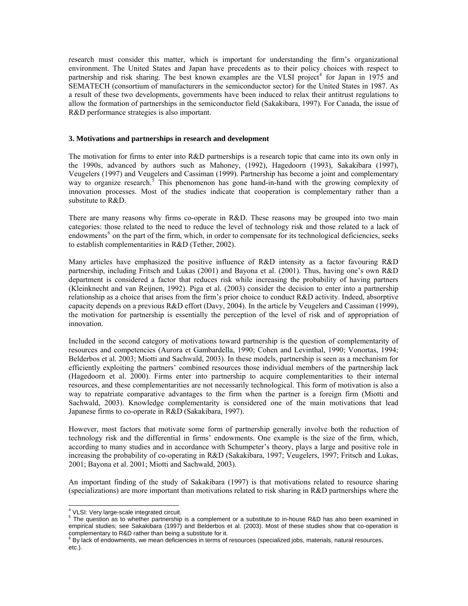research must consider this matter, which is important for understanding the firm's organizational environment. The United States and Japan have precedents as to their policy choices with respect to partnership and risk sharing. The best known examples are the VLSI project<sup>[4](#page-7-0)</sup> for Japan in 1975 and SEMATECH (consortium of manufacturers in the semiconductor sector) for the United States in 1987. As a result of these two developments, governments have been induced to relax their antitrust regulations to allow the formation of partnerships in the semiconductor field (Sakakibara, 1997). For Canada, the issue of R&D performance strategies is also important.

#### **3. Motivations and partnerships in research and development**

The motivation for firms to enter into R&D partnerships is a research topic that came into its own only in the 1990s, advanced by authors such as Mahoney, (1992), Hagedoorn (1993), Sakakibara (1997), Veugelers (1997) and Veugelers and Cassiman (1999). Partnership has become a joint and complementary way to organize research.<sup>[5](#page-7-1)</sup> This phenomenon has gone hand-in-hand with the growing complexity of innovation processes. Most of the studies indicate that cooperation is complementary rather than a substitute to R&D.

There are many reasons why firms co-operate in R&D. These reasons may be grouped into two main categories: those related to the need to reduce the level of technology risk and those related to a lack of endowments<sup>[6](#page-7-2)</sup> on the part of the firm, which, in order to compensate for its technological deficiencies, seeks to establish complementarities in R&D (Tether, 2002).

Many articles have emphasized the positive influence of R&D intensity as a factor favouring R&D partnership, including Fritsch and Lukas (2001) and Bayona et al. (2001). Thus, having one's own R&D department is considered a factor that reduces risk while increasing the probability of having partners (Kleinknecht and van Reijnen, 1992). Piga et al. (2003) consider the decision to enter into a partnership relationship as a choice that arises from the firm's prior choice to conduct R&D activity. Indeed, absorptive capacity depends on a previous R&D effort (Davy, 2004). In the article by Veugelers and Cassiman (1999), the motivation for partnership is essentially the perception of the level of risk and of appropriation of innovation.

Included in the second category of motivations toward partnership is the question of complementarity of resources and competencies (Aurora et Gambardella, 1990; Cohen and Levinthal, 1990; Vonortas, 1994; Belderbos et al. 2003; Miotti and Sachwald, 2003). In these models, partnership is seen as a mechanism for efficiently exploiting the partners' combined resources those individual members of the partnership lack (Hagedoorn et al. 2000). Firms enter into partnership to acquire complementarities to their internal resources, and these complementarities are not necessarily technological. This form of motivation is also a way to repatriate comparative advantages to the firm when the partner is a foreign firm (Miotti and Sachwald, 2003). Knowledge complementarity is considered one of the main motivations that lead Japanese firms to co-operate in R&D (Sakakibara, 1997).

However, most factors that motivate some form of partnership generally involve both the reduction of technology risk and the differential in firms' endowments. One example is the size of the firm, which, according to many studies and in accordance with Schumpeter's theory, plays a large and positive role in increasing the probability of co-operating in R&D (Sakakibara, 1997; Veugelers, 1997; Fritsch and Lukas, 2001; Bayona et al. 2001; Miotti and Sachwald, 2003).

An important finding of the study of Sakakibara (1997) is that motivations related to resource sharing (specializations) are more important than motivations related to risk sharing in R&D partnerships where the

 4 VLSI: Very large-scale integrated circuit.

<span id="page-7-1"></span><span id="page-7-0"></span> $5$  The question as to whether partnership is a complement or a substitute to in-house R&D has also been examined in empirical studies; see Sakakibara (1997) and Belderbos et al. (2003). Most of these studies show that co-operation is complementary to R&D rather than being a substitute for it.<br><sup>6</sup> By lack of endowments, we mean deficiencies in terms of resources (specialized jobs, materials, natural resources,

<span id="page-7-2"></span>etc.).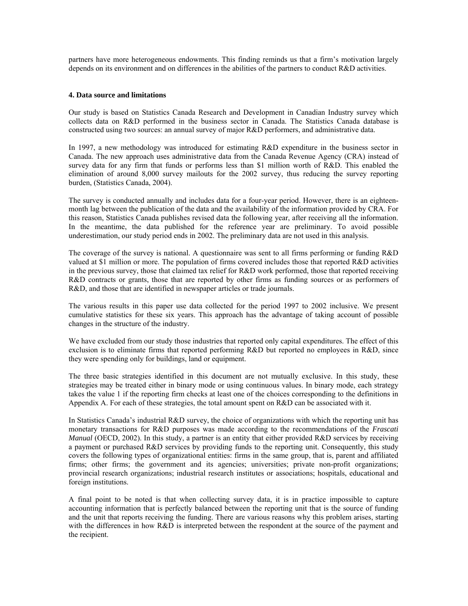partners have more heterogeneous endowments. This finding reminds us that a firm's motivation largely depends on its environment and on differences in the abilities of the partners to conduct R&D activities.

#### **4. Data source and limitations**

Our study is based on Statistics Canada Research and Development in Canadian Industry survey which collects data on R&D performed in the business sector in Canada. The Statistics Canada database is constructed using two sources: an annual survey of major R&D performers, and administrative data.

In 1997, a new methodology was introduced for estimating R&D expenditure in the business sector in Canada. The new approach uses administrative data from the Canada Revenue Agency (CRA) instead of survey data for any firm that funds or performs less than \$1 million worth of R&D. This enabled the elimination of around 8,000 survey mailouts for the 2002 survey, thus reducing the survey reporting burden, (Statistics Canada, 2004).

The survey is conducted annually and includes data for a four-year period. However, there is an eighteenmonth lag between the publication of the data and the availability of the information provided by CRA. For this reason, Statistics Canada publishes revised data the following year, after receiving all the information. In the meantime, the data published for the reference year are preliminary. To avoid possible underestimation, our study period ends in 2002. The preliminary data are not used in this analysis.

The coverage of the survey is national. A questionnaire was sent to all firms performing or funding R&D valued at \$1 million or more. The population of firms covered includes those that reported R&D activities in the previous survey, those that claimed tax relief for R&D work performed, those that reported receiving R&D contracts or grants, those that are reported by other firms as funding sources or as performers of R&D, and those that are identified in newspaper articles or trade journals.

The various results in this paper use data collected for the period 1997 to 2002 inclusive. We present cumulative statistics for these six years. This approach has the advantage of taking account of possible changes in the structure of the industry.

We have excluded from our study those industries that reported only capital expenditures. The effect of this exclusion is to eliminate firms that reported performing R&D but reported no employees in R&D, since they were spending only for buildings, land or equipment.

The three basic strategies identified in this document are not mutually exclusive. In this study, these strategies may be treated either in binary mode or using continuous values. In binary mode, each strategy takes the value 1 if the reporting firm checks at least one of the choices corresponding to the definitions in Appendix A. For each of these strategies, the total amount spent on R&D can be associated with it.

In Statistics Canada's industrial R&D survey, the choice of organizations with which the reporting unit has monetary transactions for R&D purposes was made according to the recommendations of the *Frascati Manual* (OECD, 2002). In this study, a partner is an entity that either provided R&D services by receiving a payment or purchased R&D services by providing funds to the reporting unit. Consequently, this study covers the following types of organizational entities: firms in the same group, that is, parent and affiliated firms; other firms; the government and its agencies; universities; private non-profit organizations; provincial research organizations; industrial research institutes or associations; hospitals, educational and foreign institutions.

A final point to be noted is that when collecting survey data, it is in practice impossible to capture accounting information that is perfectly balanced between the reporting unit that is the source of funding and the unit that reports receiving the funding. There are various reasons why this problem arises, starting with the differences in how R&D is interpreted between the respondent at the source of the payment and the recipient.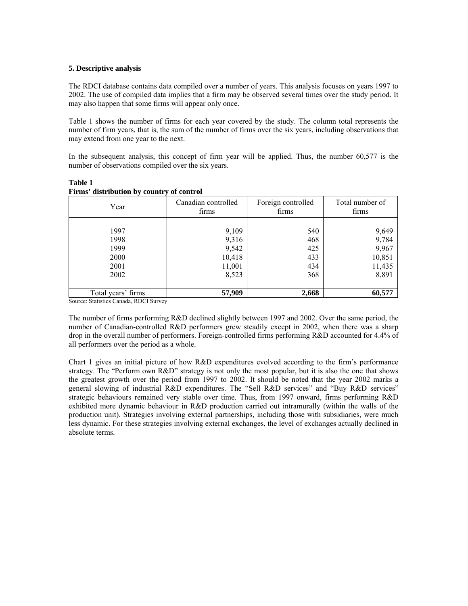#### **5. Descriptive analysis**

The RDCI database contains data compiled over a number of years. This analysis focuses on years 1997 to 2002. The use of compiled data implies that a firm may be observed several times over the study period. It may also happen that some firms will appear only once.

Table 1 shows the number of firms for each year covered by the study. The column total represents the number of firm years, that is, the sum of the number of firms over the six years, including observations that may extend from one year to the next.

In the subsequent analysis, this concept of firm year will be applied. Thus, the number 60,577 is the number of observations compiled over the six years.

| Year               | Canadian controlled<br>firms | Foreign controlled<br>firms | Total number of<br>firms |  |
|--------------------|------------------------------|-----------------------------|--------------------------|--|
|                    |                              |                             |                          |  |
| 1997               | 9,109                        | 540                         | 9,649                    |  |
| 1998               | 9,316                        | 468                         | 9,784                    |  |
| 1999               | 9,542                        | 425                         | 9,967                    |  |
| 2000               | 10,418                       | 433                         | 10,851                   |  |
| 2001               | 11,001                       | 434                         | 11,435                   |  |
| 2002               | 8,523                        | 368                         | 8,891                    |  |
|                    |                              |                             |                          |  |
| Total years' firms | 57,909                       | 2,668                       | 60,577                   |  |

#### **Table 1 Firms' distribution by country of control**

Source: Statistics Canada, RDCI Survey

The number of firms performing R&D declined slightly between 1997 and 2002. Over the same period, the number of Canadian-controlled R&D performers grew steadily except in 2002, when there was a sharp drop in the overall number of performers. Foreign-controlled firms performing R&D accounted for 4.4% of all performers over the period as a whole.

Chart 1 gives an initial picture of how R&D expenditures evolved according to the firm's performance strategy. The "Perform own R&D" strategy is not only the most popular, but it is also the one that shows the greatest growth over the period from 1997 to 2002. It should be noted that the year 2002 marks a general slowing of industrial R&D expenditures. The "Sell R&D services" and "Buy R&D services" strategic behaviours remained very stable over time. Thus, from 1997 onward, firms performing R&D exhibited more dynamic behaviour in R&D production carried out intramurally (within the walls of the production unit). Strategies involving external partnerships, including those with subsidiaries, were much less dynamic. For these strategies involving external exchanges, the level of exchanges actually declined in absolute terms.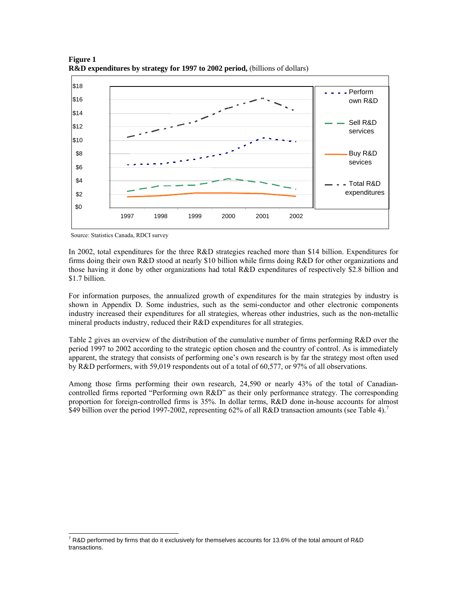

**Figure 1 R&D expenditures by strategy for 1997 to 2002 period, (billions of dollars)** 

Source: Statistics Canada, RDCI survey

 $\overline{a}$ 

In 2002, total expenditures for the three R&D strategies reached more than \$14 billion. Expenditures for firms doing their own R&D stood at nearly \$10 billion while firms doing R&D for other organizations and those having it done by other organizations had total R&D expenditures of respectively \$2.8 billion and \$1.7 billion.

For information purposes, the annualized growth of expenditures for the main strategies by industry is shown in Appendix D. Some industries, such as the semi-conductor and other electronic components industry increased their expenditures for all strategies, whereas other industries, such as the non-metallic mineral products industry, reduced their R&D expenditures for all strategies.

Table 2 gives an overview of the distribution of the cumulative number of firms performing R&D over the period 1997 to 2002 according to the strategic option chosen and the country of control. As is immediately apparent, the strategy that consists of performing one's own research is by far the strategy most often used by R&D performers, with 59,019 respondents out of a total of 60,577, or 97% of all observations.

Among those firms performing their own research, 24,590 or nearly 43% of the total of Canadiancontrolled firms reported "Performing own R&D" as their only performance strategy. The corresponding proportion for foreign-controlled firms is 35%. In dollar terms, R&D done in-house accounts for almost \$49 billion over the period 199[7](#page-10-0)-2002, representing 62% of all R&D transaction amounts (see Table 4).<sup>7</sup>

<span id="page-10-0"></span> $^7$  R&D performed by firms that do it exclusively for themselves accounts for 13.6% of the total amount of R&D transactions.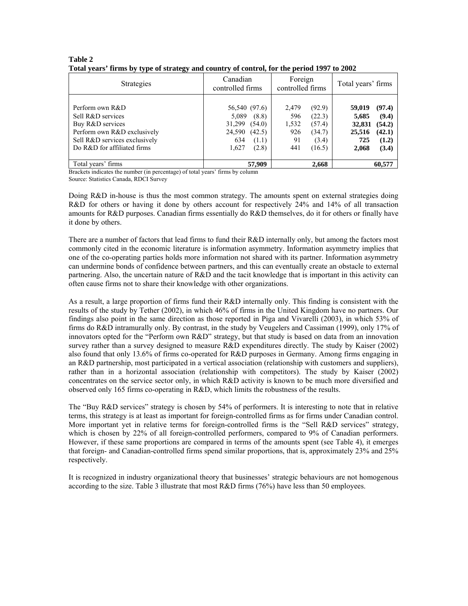| <b>Strategies</b>                                                                                                                                       | Canadian<br>controlled firms                                                                              | Foreign<br>Total years' firms<br>controlled firms                                                    |                                                                                                              |
|---------------------------------------------------------------------------------------------------------------------------------------------------------|-----------------------------------------------------------------------------------------------------------|------------------------------------------------------------------------------------------------------|--------------------------------------------------------------------------------------------------------------|
| Perform own R&D<br>Sell R&D services<br>Buy R&D services<br>Perform own R&D exclusively<br>Sell R&D services exclusively<br>Do R&D for affiliated firms | 56,540 (97.6)<br>5,089<br>(8.8)<br>31,299<br>(54.0)<br>24,590<br>(42.5)<br>634<br>(1.1)<br>1,627<br>(2.8) | (92.9)<br>2,479<br>(22.3)<br>596<br>1,532<br>(57.4)<br>926<br>(34.7)<br>91<br>(3.4)<br>441<br>(16.5) | (97.4)<br>59,019<br>(9.4)<br>5,685<br>(54.2)<br>32,831<br>25,516<br>(42.1)<br>(1.2)<br>725<br>(3.4)<br>2,068 |
| Total years' firms                                                                                                                                      | 57,909                                                                                                    | 2,668                                                                                                | 60,577                                                                                                       |

#### **Table 2 Total years' firms by type of strategy and country of control, for the period 1997 to 2002**

Brackets indicates the number (in percentage) of total years' firms by column

Source: Statistics Canada, RDCI Survey

Doing R&D in-house is thus the most common strategy. The amounts spent on external strategies doing R&D for others or having it done by others account for respectively 24% and 14% of all transaction amounts for R&D purposes. Canadian firms essentially do R&D themselves, do it for others or finally have it done by others.

There are a number of factors that lead firms to fund their R&D internally only, but among the factors most commonly cited in the economic literature is information asymmetry. Information asymmetry implies that one of the co-operating parties holds more information not shared with its partner. Information asymmetry can undermine bonds of confidence between partners, and this can eventually create an obstacle to external partnering. Also, the uncertain nature of R&D and the tacit knowledge that is important in this activity can often cause firms not to share their knowledge with other organizations.

As a result, a large proportion of firms fund their R&D internally only. This finding is consistent with the results of the study by Tether (2002), in which 46% of firms in the United Kingdom have no partners. Our findings also point in the same direction as those reported in Piga and Vivarelli (2003), in which 53% of firms do R&D intramurally only. By contrast, in the study by Veugelers and Cassiman (1999), only 17% of innovators opted for the "Perform own R&D" strategy, but that study is based on data from an innovation survey rather than a survey designed to measure R&D expenditures directly. The study by Kaiser (2002) also found that only 13.6% of firms co-operated for R&D purposes in Germany. Among firms engaging in an R&D partnership, most participated in a vertical association (relationship with customers and suppliers), rather than in a horizontal association (relationship with competitors). The study by Kaiser (2002) concentrates on the service sector only, in which R&D activity is known to be much more diversified and observed only 165 firms co-operating in R&D, which limits the robustness of the results.

The "Buy R&D services" strategy is chosen by 54% of performers. It is interesting to note that in relative terms, this strategy is at least as important for foreign-controlled firms as for firms under Canadian control. More important yet in relative terms for foreign-controlled firms is the "Sell R&D services" strategy, which is chosen by 22% of all foreign-controlled performers, compared to 9% of Canadian performers. However, if these same proportions are compared in terms of the amounts spent (see Table 4), it emerges that foreign- and Canadian-controlled firms spend similar proportions, that is, approximately 23% and 25% respectively.

It is recognized in industry organizational theory that businesses' strategic behaviours are not homogenous according to the size. Table 3 illustrate that most R&D firms (76%) have less than 50 employees.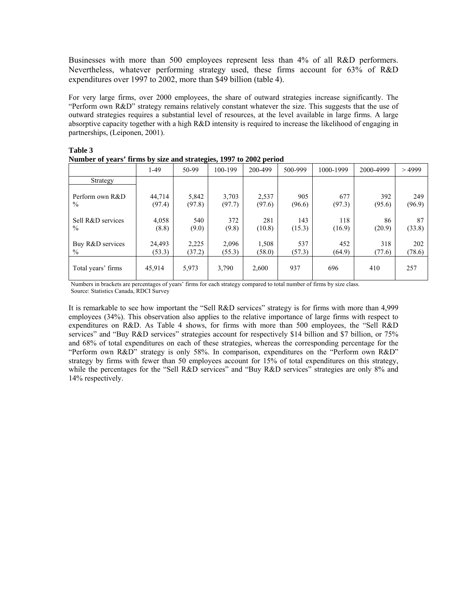Businesses with more than 500 employees represent less than 4% of all R&D performers. Nevertheless, whatever performing strategy used, these firms account for 63% of R&D expenditures over 1997 to 2002, more than \$49 billion (table 4).

For very large firms, over 2000 employees, the share of outward strategies increase significantly. The "Perform own R&D" strategy remains relatively constant whatever the size. This suggests that the use of outward strategies requires a substantial level of resources, at the level available in large firms. A large absorptive capacity together with a high R&D intensity is required to increase the likelihood of engaging in partnerships, (Leiponen, 2001).

| $\alpha$ and $\alpha$ is the contract of $\alpha$ and $\alpha$ and $\alpha$ and $\alpha$ is $\alpha$ and $\alpha$ is $\alpha$ is $\alpha$ is $\alpha$ |                  |                 |                 |                 |               |               |               |               |
|-------------------------------------------------------------------------------------------------------------------------------------------------------|------------------|-----------------|-----------------|-----------------|---------------|---------------|---------------|---------------|
|                                                                                                                                                       | $1-49$           | $50-99$         | 100-199         | 200-499         | 500-999       | 1000-1999     | 2000-4999     | >4999         |
| Strategy                                                                                                                                              |                  |                 |                 |                 |               |               |               |               |
| Perform own R&D<br>$\%$                                                                                                                               | 44.714<br>(97.4) | 5,842<br>(97.8) | 3,703<br>(97.7) | 2,537<br>(97.6) | 905<br>(96.6) | 677<br>(97.3) | 392<br>(95.6) | 249<br>(96.9) |
| Sell R&D services<br>$\frac{0}{0}$                                                                                                                    | 4,058<br>(8.8)   | 540<br>(9.0)    | 372<br>(9.8)    | 281<br>(10.8)   | 143<br>(15.3) | 118<br>(16.9) | 86<br>(20.9)  | 87<br>(33.8)  |
| Buy R&D services<br>$\%$                                                                                                                              | 24,493<br>(53.3) | 2,225<br>(37.2) | 2,096<br>(55.3) | 1,508<br>(58.0) | 537<br>(57.3) | 452<br>(64.9) | 318<br>(77.6) | 202<br>(78.6) |
| Total years' firms                                                                                                                                    | 45,914           | 5,973           | 3,790           | 2,600           | 937           | 696           | 410           | 257           |

| ---------                                                          |  |  |
|--------------------------------------------------------------------|--|--|
| Number of years' firms by size and strategies, 1997 to 2002 period |  |  |

**Table 3** 

Numbers in brackets are percentages of years' firms for each strategy compared to total number of firms by size class. Source: Statistics Canada, RDCI Survey

It is remarkable to see how important the "Sell R&D services" strategy is for firms with more than 4,999 employees (34%). This observation also applies to the relative importance of large firms with respect to expenditures on R&D. As Table 4 shows, for firms with more than 500 employees, the "Sell R&D services" and "Buy R&D services" strategies account for respectively \$14 billion and \$7 billion, or 75% and 68% of total expenditures on each of these strategies, whereas the corresponding percentage for the "Perform own R&D" strategy is only 58%. In comparison, expenditures on the "Perform own R&D" strategy by firms with fewer than 50 employees account for 15% of total expenditures on this strategy, while the percentages for the "Sell R&D services" and "Buy R&D services" strategies are only 8% and 14% respectively.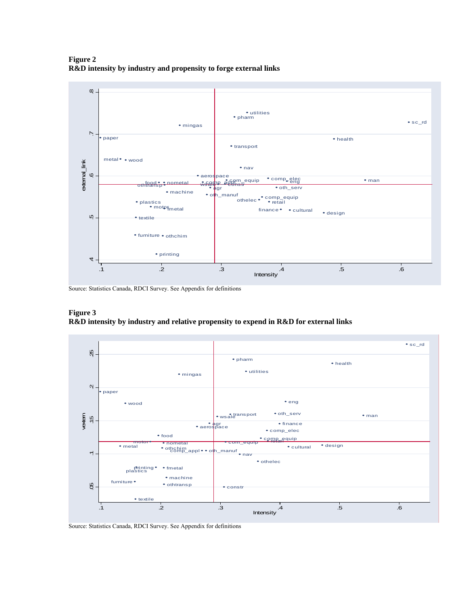**Figure 2 R&D intensity by industry and propensity to forge external links** 



Source: Statistics Canada, RDCI Survey. See Appendix for definitions





Source: Statistics Canada, RDCI Survey. See Appendix for definitions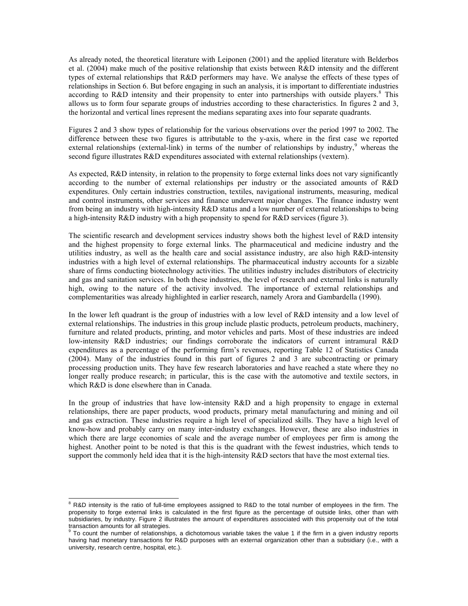As already noted, the theoretical literature with Leiponen (2001) and the applied literature with Belderbos et al. (2004) make much of the positive relationship that exists between R&D intensity and the different types of external relationships that R&D performers may have. We analyse the effects of these types of relationships in Section 6. But before engaging in such an analysis, it is important to differentiate industries according to R&D intensity and their propensity to enter into partnerships with outside players.<sup>[8](#page-14-0)</sup> This allows us to form four separate groups of industries according to these characteristics. In figures 2 and 3, the horizontal and vertical lines represent the medians separating axes into four separate quadrants.

Figures 2 and 3 show types of relationship for the various observations over the period 1997 to 2002. The difference between these two figures is attributable to the y-axis, where in the first case we reported external relationships (external-link) in terms of the number of relationships by industry, $9$  whereas the second figure illustrates R&D expenditures associated with external relationships (vextern).

As expected, R&D intensity, in relation to the propensity to forge external links does not vary significantly according to the number of external relationships per industry or the associated amounts of R&D expenditures. Only certain industries construction, textiles, navigational instruments, measuring, medical and control instruments, other services and finance underwent major changes. The finance industry went from being an industry with high-intensity R&D status and a low number of external relationships to being a high-intensity R&D industry with a high propensity to spend for R&D services (figure 3).

The scientific research and development services industry shows both the highest level of R&D intensity and the highest propensity to forge external links. The pharmaceutical and medicine industry and the utilities industry, as well as the health care and social assistance industry, are also high R&D-intensity industries with a high level of external relationships. The pharmaceutical industry accounts for a sizable share of firms conducting biotechnology activities. The utilities industry includes distributors of electricity and gas and sanitation services. In both these industries, the level of research and external links is naturally high, owing to the nature of the activity involved. The importance of external relationships and complementarities was already highlighted in earlier research, namely Arora and Gambardella (1990).

In the lower left quadrant is the group of industries with a low level of R&D intensity and a low level of external relationships. The industries in this group include plastic products, petroleum products, machinery, furniture and related products, printing, and motor vehicles and parts. Most of these industries are indeed low-intensity R&D industries; our findings corroborate the indicators of current intramural R&D expenditures as a percentage of the performing firm's revenues, reporting Table 12 of Statistics Canada (2004). Many of the industries found in this part of figures 2 and 3 are subcontracting or primary processing production units. They have few research laboratories and have reached a state where they no longer really produce research; in particular, this is the case with the automotive and textile sectors, in which R&D is done elsewhere than in Canada.

In the group of industries that have low-intensity R&D and a high propensity to engage in external relationships, there are paper products, wood products, primary metal manufacturing and mining and oil and gas extraction. These industries require a high level of specialized skills. They have a high level of know-how and probably carry on many inter-industry exchanges. However, these are also industries in which there are large economies of scale and the average number of employees per firm is among the highest. Another point to be noted is that this is the quadrant with the fewest industries, which tends to support the commonly held idea that it is the high-intensity R&D sectors that have the most external ties.

<span id="page-14-0"></span><sup>&</sup>lt;sup>8</sup> R&D intensity is the ratio of full-time employees assigned to R&D to the total number of employees in the firm. The propensity to forge external links is calculated in the first figure as the percentage of outside links, other than with subsidiaries, by industry. Figure 2 illustrates the amount of expenditures associated with this propensity out of the total transaction amounts for all strategies.<br><sup>9</sup> To count the number of relationships, a dichotomous variable takes the value 1 if the firm in a given industry reports

<span id="page-14-1"></span>having had monetary transactions for R&D purposes with an external organization other than a subsidiary (i.e., with a university, research centre, hospital, etc.).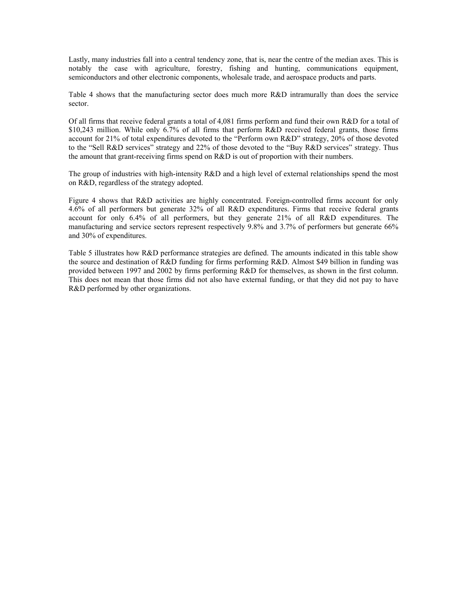Lastly, many industries fall into a central tendency zone, that is, near the centre of the median axes. This is notably the case with agriculture, forestry, fishing and hunting, communications equipment, semiconductors and other electronic components, wholesale trade, and aerospace products and parts.

Table 4 shows that the manufacturing sector does much more R&D intramurally than does the service sector.

Of all firms that receive federal grants a total of 4,081 firms perform and fund their own R&D for a total of \$10,243 million. While only 6.7% of all firms that perform R&D received federal grants, those firms account for 21% of total expenditures devoted to the "Perform own R&D" strategy, 20% of those devoted to the "Sell R&D services" strategy and 22% of those devoted to the "Buy R&D services" strategy. Thus the amount that grant-receiving firms spend on R&D is out of proportion with their numbers.

The group of industries with high-intensity R&D and a high level of external relationships spend the most on R&D, regardless of the strategy adopted.

Figure 4 shows that R&D activities are highly concentrated. Foreign-controlled firms account for only 4.6% of all performers but generate 32% of all R&D expenditures. Firms that receive federal grants account for only 6.4% of all performers, but they generate 21% of all R&D expenditures. The manufacturing and service sectors represent respectively 9.8% and 3.7% of performers but generate 66% and 30% of expenditures.

Table 5 illustrates how R&D performance strategies are defined. The amounts indicated in this table show the source and destination of R&D funding for firms performing R&D. Almost \$49 billion in funding was provided between 1997 and 2002 by firms performing R&D for themselves, as shown in the first column. This does not mean that those firms did not also have external funding, or that they did not pay to have R&D performed by other organizations.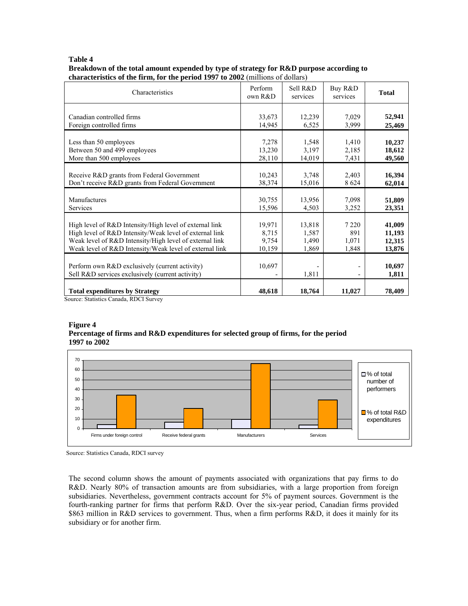#### **Table 4**

#### **Breakdown of the total amount expended by type of strategy for R&D purpose according to characteristics of the firm, for the period 1997 to 2002** (millions of dollars)

| Characteristics                                                                                    | Perform<br>own R&D                 | Sell R&D<br>services | Buy R&D<br>services | <b>Total</b>    |
|----------------------------------------------------------------------------------------------------|------------------------------------|----------------------|---------------------|-----------------|
| Canadian controlled firms                                                                          | 33,673                             | 12,239               | 7,029               | 52,941          |
| Foreign controlled firms                                                                           | 14,945                             | 6,525                | 3,999               | 25,469          |
| Less than 50 employees                                                                             | 7,278                              | 1,548                | 1,410               | 10,237          |
| Between 50 and 499 employees                                                                       | 13,230                             | 3,197                | 2,185               | 18,612          |
| More than 500 employees                                                                            | 28,110                             | 14,019               | 7,431               | 49,560          |
| Receive R&D grants from Federal Government                                                         | 10,243                             | 3,748                | 2,403               | 16,394          |
| Don't receive R&D grants from Federal Government                                                   | 38,374                             | 15,016               | 8 6 2 4             | 62,014          |
| Manufactures                                                                                       | 30,755                             | 13,956               | 7,098               | 51,809          |
| Services                                                                                           | 15,596                             | 4,503                | 3,252               | 23,351          |
| High level of R&D Intensity/High level of external link                                            | 19,971                             | 13,818               | 7 2 2 0             | 41,009          |
| High level of R&D Intensity/Weak level of external link                                            | 8,715                              | 1,587                | 891                 | 11,193          |
| Weak level of R&D Intensity/High level of external link                                            | 9,754                              | 1,490                | 1,071               | 12,315          |
| Weak level of R&D Intensity/Weak level of external link                                            | 10,159                             | 1,869                | 1,848               | 13,876          |
| Perform own R&D exclusively (current activity)<br>Sell R&D services exclusively (current activity) | 10,697<br>$\overline{\phantom{a}}$ | 1,811                | -                   | 10,697<br>1,811 |
| <b>Total expenditures by Strategy</b><br>Source: Statistics Canada, RDCI Survey                    | 48,618                             | 18,764               | 11,027              | 78,409          |

## **Figure 4 Percentage of firms and R&D expenditures for selected group of firms, for the period**







The second column shows the amount of payments associated with organizations that pay firms to do R&D. Nearly 80% of transaction amounts are from subsidiaries, with a large proportion from foreign subsidiaries. Nevertheless, government contracts account for 5% of payment sources. Government is the fourth-ranking partner for firms that perform R&D. Over the six-year period, Canadian firms provided \$863 million in R&D services to government. Thus, when a firm performs R&D, it does it mainly for its subsidiary or for another firm.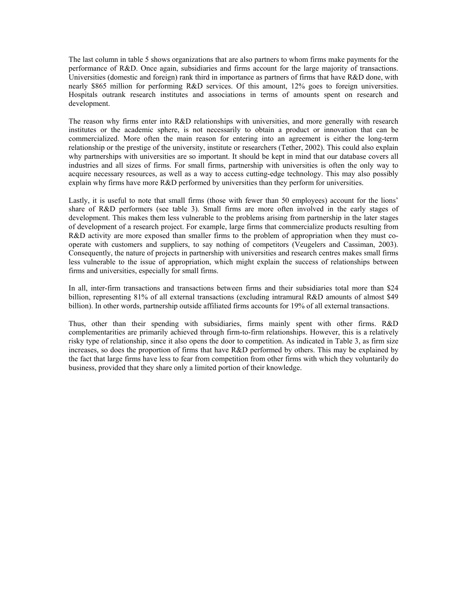The last column in table 5 shows organizations that are also partners to whom firms make payments for the performance of R&D. Once again, subsidiaries and firms account for the large majority of transactions. Universities (domestic and foreign) rank third in importance as partners of firms that have R&D done, with nearly \$865 million for performing R&D services. Of this amount, 12% goes to foreign universities. Hospitals outrank research institutes and associations in terms of amounts spent on research and development.

The reason why firms enter into R&D relationships with universities, and more generally with research institutes or the academic sphere, is not necessarily to obtain a product or innovation that can be commercialized. More often the main reason for entering into an agreement is either the long-term relationship or the prestige of the university, institute or researchers (Tether, 2002). This could also explain why partnerships with universities are so important. It should be kept in mind that our database covers all industries and all sizes of firms. For small firms, partnership with universities is often the only way to acquire necessary resources, as well as a way to access cutting-edge technology. This may also possibly explain why firms have more R&D performed by universities than they perform for universities.

Lastly, it is useful to note that small firms (those with fewer than 50 employees) account for the lions' share of R&D performers (see table 3). Small firms are more often involved in the early stages of development. This makes them less vulnerable to the problems arising from partnership in the later stages of development of a research project. For example, large firms that commercialize products resulting from R&D activity are more exposed than smaller firms to the problem of appropriation when they must cooperate with customers and suppliers, to say nothing of competitors (Veugelers and Cassiman, 2003). Consequently, the nature of projects in partnership with universities and research centres makes small firms less vulnerable to the issue of appropriation, which might explain the success of relationships between firms and universities, especially for small firms.

In all, inter-firm transactions and transactions between firms and their subsidiaries total more than \$24 billion, representing 81% of all external transactions (excluding intramural R&D amounts of almost \$49 billion). In other words, partnership outside affiliated firms accounts for 19% of all external transactions.

Thus, other than their spending with subsidiaries, firms mainly spent with other firms. R&D complementarities are primarily achieved through firm-to-firm relationships. However, this is a relatively risky type of relationship, since it also opens the door to competition. As indicated in Table 3, as firm size increases, so does the proportion of firms that have R&D performed by others. This may be explained by the fact that large firms have less to fear from competition from other firms with which they voluntarily do business, provided that they share only a limited portion of their knowledge.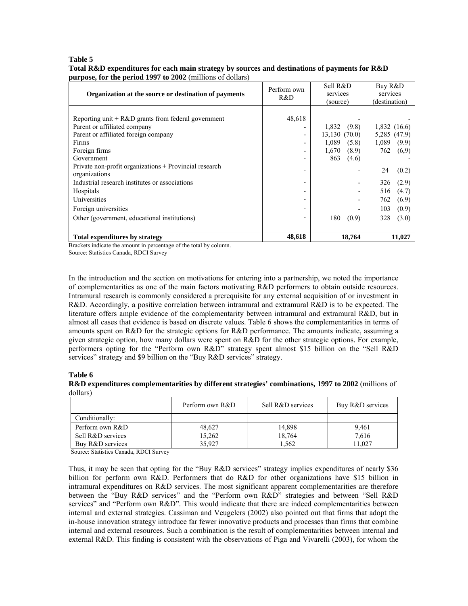#### **Table 5 Total R&D expenditures for each main strategy by sources and destinations of payments for R&D purpose, for the period 1997 to 2002** (millions of dollars)

| Organization at the source or destination of payments                                                                                                                                                                                                                                                                                                                                                     | Perform own<br>R&D | Sell R&D<br>services<br>(source)                                                                   | Buy R&D<br>services<br>(destination)                                                                                                                         |
|-----------------------------------------------------------------------------------------------------------------------------------------------------------------------------------------------------------------------------------------------------------------------------------------------------------------------------------------------------------------------------------------------------------|--------------------|----------------------------------------------------------------------------------------------------|--------------------------------------------------------------------------------------------------------------------------------------------------------------|
| Reporting unit $+ R & D$ grants from federal government<br>Parent or affiliated company<br>Parent or affiliated foreign company<br>Firms<br>Foreign firms<br>Government<br>Private non-profit organizations + Provincial research<br>organizations<br>Industrial research institutes or associations<br>Hospitals<br>Universities<br>Foreign universities<br>Other (government, educational institutions) | 48,618             | 1,832<br>(9.8)<br>13,130(70.0)<br>1.089<br>(5.8)<br>1,670<br>(8.9)<br>863<br>(4.6)<br>180<br>(0.9) | 1,832(16.6)<br>5,285 (47.9)<br>1.089<br>(9.9)<br>762<br>(6,9)<br>24<br>(0.2)<br>326<br>(2.9)<br>(4.7)<br>516<br>762<br>(6.9)<br>(0.9)<br>103<br>(3.0)<br>328 |
| <b>Total expenditures by strategy</b>                                                                                                                                                                                                                                                                                                                                                                     | 48,618             | 18,764                                                                                             | 11,027                                                                                                                                                       |

Brackets indicate the amount in percentage of the total by column.

Source: Statistics Canada, RDCI Survey

In the introduction and the section on motivations for entering into a partnership, we noted the importance of complementarities as one of the main factors motivating R&D performers to obtain outside resources. Intramural research is commonly considered a prerequisite for any external acquisition of or investment in R&D. Accordingly, a positive correlation between intramural and extramural R&D is to be expected. The literature offers ample evidence of the complementarity between intramural and extramural R&D, but in almost all cases that evidence is based on discrete values. Table 6 shows the complementarities in terms of amounts spent on R&D for the strategic options for R&D performance. The amounts indicate, assuming a given strategic option, how many dollars were spent on R&D for the other strategic options. For example, performers opting for the "Perform own R&D" strategy spent almost \$15 billion on the "Sell R&D services" strategy and \$9 billion on the "Buy R&D services" strategy.

#### **Table 6**

**R&D expenditures complementarities by different strategies' combinations, 1997 to 2002** (millions of dollars)

|                   | Perform own R&D | Sell R&D services | Buy R&D services |
|-------------------|-----------------|-------------------|------------------|
| Conditionally:    |                 |                   |                  |
| Perform own R&D   | 48.627          | 14,898            | 9,461            |
| Sell R&D services | 15,262          | 18,764            | 7,616            |
| Buy R&D services  | 35.927          | 1.562             | 11.027           |

Source: Statistics Canada, RDCI Survey

Thus, it may be seen that opting for the "Buy R&D services" strategy implies expenditures of nearly \$36 billion for perform own R&D. Performers that do R&D for other organizations have \$15 billion in intramural expenditures on R&D services. The most significant apparent complementarities are therefore between the "Buy R&D services" and the "Perform own R&D" strategies and between "Sell R&D services" and "Perform own R&D". This would indicate that there are indeed complementarities between internal and external strategies. Cassiman and Veugelers (2002) also pointed out that firms that adopt the in-house innovation strategy introduce far fewer innovative products and processes than firms that combine internal and external resources. Such a combination is the result of complementarities between internal and external R&D. This finding is consistent with the observations of Piga and Vivarelli (2003), for whom the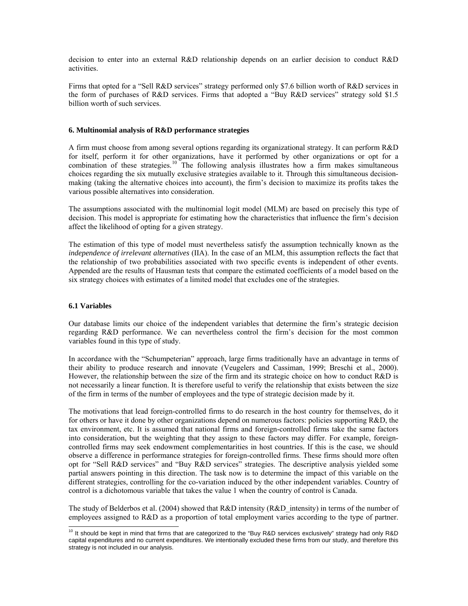decision to enter into an external R&D relationship depends on an earlier decision to conduct R&D activities.

Firms that opted for a "Sell R&D services" strategy performed only \$7.6 billion worth of R&D services in the form of purchases of R&D services. Firms that adopted a "Buy R&D services" strategy sold \$1.5 billion worth of such services.

#### **6. Multinomial analysis of R&D performance strategies**

A firm must choose from among several options regarding its organizational strategy. It can perform R&D for itself, perform it for other organizations, have it performed by other organizations or opt for a combination of these strategies.<sup>[10](#page-19-0)</sup> The following analysis illustrates how a firm makes simultaneous choices regarding the six mutually exclusive strategies available to it. Through this simultaneous decisionmaking (taking the alternative choices into account), the firm's decision to maximize its profits takes the various possible alternatives into consideration.

The assumptions associated with the multinomial logit model (MLM) are based on precisely this type of decision. This model is appropriate for estimating how the characteristics that influence the firm's decision affect the likelihood of opting for a given strategy.

The estimation of this type of model must nevertheless satisfy the assumption technically known as the *independence of irrelevant alternatives* (IIA). In the case of an MLM, this assumption reflects the fact that the relationship of two probabilities associated with two specific events is independent of other events. Appended are the results of Hausman tests that compare the estimated coefficients of a model based on the six strategy choices with estimates of a limited model that excludes one of the strategies.

#### **6.1 Variables**

Our database limits our choice of the independent variables that determine the firm's strategic decision regarding R&D performance. We can nevertheless control the firm's decision for the most common variables found in this type of study.

In accordance with the "Schumpeterian" approach, large firms traditionally have an advantage in terms of their ability to produce research and innovate (Veugelers and Cassiman, 1999; Breschi et al., 2000). However, the relationship between the size of the firm and its strategic choice on how to conduct R&D is not necessarily a linear function. It is therefore useful to verify the relationship that exists between the size of the firm in terms of the number of employees and the type of strategic decision made by it.

The motivations that lead foreign-controlled firms to do research in the host country for themselves, do it for others or have it done by other organizations depend on numerous factors: policies supporting R&D, the tax environment, etc. It is assumed that national firms and foreign-controlled firms take the same factors into consideration, but the weighting that they assign to these factors may differ. For example, foreigncontrolled firms may seek endowment complementarities in host countries. If this is the case, we should observe a difference in performance strategies for foreign-controlled firms. These firms should more often opt for "Sell R&D services" and "Buy R&D services" strategies. The descriptive analysis yielded some partial answers pointing in this direction. The task now is to determine the impact of this variable on the different strategies, controlling for the co-variation induced by the other independent variables. Country of control is a dichotomous variable that takes the value 1 when the country of control is Canada.

The study of Belderbos et al. (2004) showed that R&D intensity (R&D\_intensity) in terms of the number of employees assigned to R&D as a proportion of total employment varies according to the type of partner.

<span id="page-19-0"></span> $\overline{a}$  $10$  It should be kept in mind that firms that are categorized to the "Buy R&D services exclusively" strategy had only R&D capital expenditures and no current expenditures. We intentionally excluded these firms from our study, and therefore this strategy is not included in our analysis.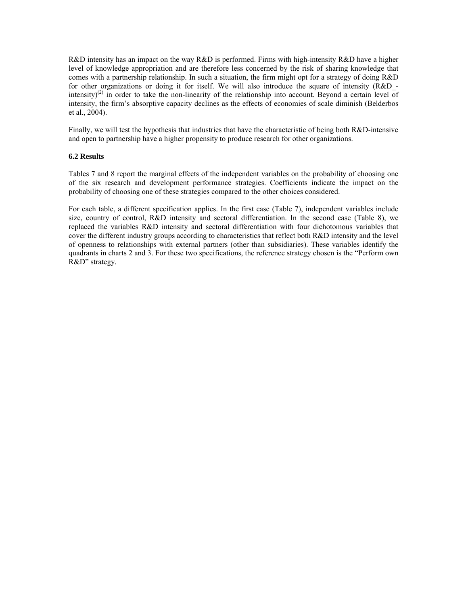R&D intensity has an impact on the way R&D is performed. Firms with high-intensity R&D have a higher level of knowledge appropriation and are therefore less concerned by the risk of sharing knowledge that comes with a partnership relationship. In such a situation, the firm might opt for a strategy of doing R&D for other organizations or doing it for itself. We will also introduce the square of intensity (R&D intensity)<sup>(2)</sup> in order to take the non-linearity of the relationship into account. Beyond a certain level of intensity, the firm's absorptive capacity declines as the effects of economies of scale diminish (Belderbos et al., 2004).

Finally, we will test the hypothesis that industries that have the characteristic of being both R&D-intensive and open to partnership have a higher propensity to produce research for other organizations.

#### **6.2 Results**

Tables 7 and 8 report the marginal effects of the independent variables on the probability of choosing one of the six research and development performance strategies. Coefficients indicate the impact on the probability of choosing one of these strategies compared to the other choices considered.

For each table, a different specification applies. In the first case (Table 7), independent variables include size, country of control, R&D intensity and sectoral differentiation. In the second case (Table 8), we replaced the variables R&D intensity and sectoral differentiation with four dichotomous variables that cover the different industry groups according to characteristics that reflect both R&D intensity and the level of openness to relationships with external partners (other than subsidiaries). These variables identify the quadrants in charts 2 and 3. For these two specifications, the reference strategy chosen is the "Perform own R&D" strategy.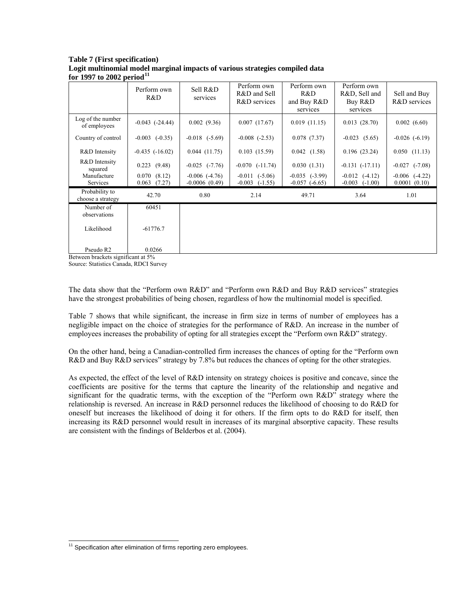**Table 7 (First specification) Logit multinomial model marginal impacts of various strategies compiled data for 1997 to 2002 period[11](#page-21-0)**

|                                     | Perform own<br>R&D             | Sell R&D<br>services                  | Perform own<br>R&D and Sell<br>R&D services | Perform own<br>R&D<br>and Buy R&D<br>services | Perform own<br>R&D, Sell and<br>Buy R&D<br>services | Sell and Buy<br>R&D services       |
|-------------------------------------|--------------------------------|---------------------------------------|---------------------------------------------|-----------------------------------------------|-----------------------------------------------------|------------------------------------|
| Log of the number<br>of employees   | $-0.043$ $(-24.44)$            | 0.002(9.36)                           | 0.007(17.67)                                | 0.019(11.15)                                  | 0.013(28.70)                                        | 0.002(6.60)                        |
| Country of control                  | $-0.003$ $(-0.35)$             | $-0.018$ $(-5.69)$                    | $-0.008$ $(-2.53)$                          | 0.078(7.37)                                   | $-0.023$ $(5.65)$                                   | $-0.026$ $(-6.19)$                 |
| R&D Intensity                       | $-0.435$ $(-16.02)$            | 0.044(11.75)                          | 0.103(15.59)                                | 0.042(1.58)                                   | 0.196(23.24)                                        | 0.050(11.13)                       |
| R&D Intensity<br>squared            | $0.223$ $(9.48)$               | $-0.025$ $(-7.76)$                    | $-0.070$ $(-11.74)$                         | 0.030(1.31)                                   | $-0.131(-17.11)$                                    | $-0.027$<br>$(-7.08)$              |
| Manufacture<br><b>Services</b>      | 0.070(8.12)<br>0.063<br>(7.27) | $-0.006$ $(-4.76)$<br>$-0.0006(0.49)$ | $-0.011$ $(-5.06)$<br>$-0.003$<br>$(-1.55)$ | $-0.035$ $(-3.99)$<br>$-0.057(-6.65)$         | $-0.012$ $(-4.12)$<br>$-0.003$<br>$(-1.00)$         | $-0.006$ $(-4.22)$<br>0.0001(0.10) |
| Probability to<br>choose a strategy | 42.70                          | 0.80                                  | 2.14                                        | 49.71                                         | 3.64                                                | 1.01                               |
| Number of<br>observations           | 60451                          |                                       |                                             |                                               |                                                     |                                    |
| Likelihood                          | $-61776.7$                     |                                       |                                             |                                               |                                                     |                                    |
| Pseudo R2                           | 0.0266                         |                                       |                                             |                                               |                                                     |                                    |

Between brackets significant at 5%

Source: Statistics Canada, RDCI Survey

The data show that the "Perform own R&D" and "Perform own R&D and Buy R&D services" strategies have the strongest probabilities of being chosen, regardless of how the multinomial model is specified.

Table 7 shows that while significant, the increase in firm size in terms of number of employees has a negligible impact on the choice of strategies for the performance of R&D. An increase in the number of employees increases the probability of opting for all strategies except the "Perform own R&D" strategy.

On the other hand, being a Canadian-controlled firm increases the chances of opting for the "Perform own R&D and Buy R&D services" strategy by 7.8% but reduces the chances of opting for the other strategies.

As expected, the effect of the level of R&D intensity on strategy choices is positive and concave, since the coefficients are positive for the terms that capture the linearity of the relationship and negative and significant for the quadratic terms, with the exception of the "Perform own R&D" strategy where the relationship is reversed. An increase in R&D personnel reduces the likelihood of choosing to do R&D for oneself but increases the likelihood of doing it for others. If the firm opts to do R&D for itself, then increasing its R&D personnel would result in increases of its marginal absorptive capacity. These results are consistent with the findings of Belderbos et al. (2004).

 $\overline{a}$ 

<span id="page-21-0"></span> $11$  Specification after elimination of firms reporting zero employees.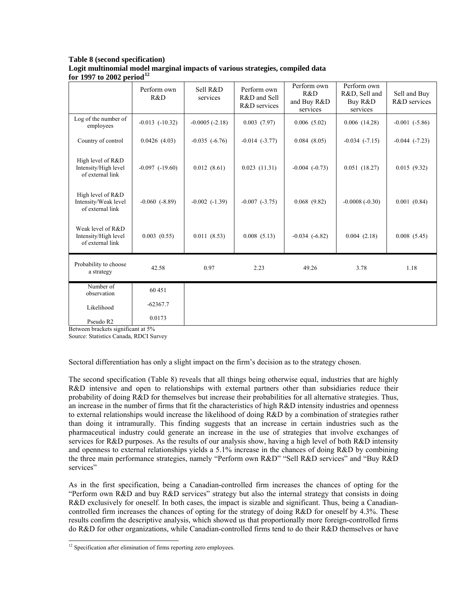## **Table 8 (second specification) Logit multinomial model marginal impacts of various strategies, compiled data for 1997 to 2002 period[12](#page-22-0)**

|                                                               | Perform own<br>R&D  | Sell R&D<br>services | Perform own<br>R&D and Sell<br>R&D services | Perform own<br>R&D<br>and Buy R&D<br>services | Perform own<br>R&D, Sell and<br>Buy R&D<br>services | Sell and Buy<br>R&D services |
|---------------------------------------------------------------|---------------------|----------------------|---------------------------------------------|-----------------------------------------------|-----------------------------------------------------|------------------------------|
| Log of the number of<br>employees                             | $-0.013$ $(-10.32)$ | $-0.0005(-2.18)$     | 0.003(7.97)                                 | 0.006(5.02)                                   | 0.006(14.28)                                        | $-0.001$ $(-5.86)$           |
| Country of control                                            | 0.0426(4.03)        | $-0.035$ $(-6.76)$   | $-0.014$ $(-3.77)$                          | 0.084(8.05)                                   | $-0.034$ $(-7.15)$                                  | $-0.044$ $(-7.23)$           |
| High level of R&D<br>Intensity/High level<br>of external link | $-0.097$ $(-19.60)$ | 0.012(8.61)          | 0.023(11.31)                                | $-0.004$ $(-0.73)$                            | 0.051(18.27)                                        | 0.015(9.32)                  |
| High level of R&D<br>Intensity/Weak level<br>of external link | $-0.060$ $(-8.89)$  | $-0.002$ $(-1.39)$   | $-0.007$ $(-3.75)$                          | 0.068(9.82)                                   | $-0.0008(-0.30)$                                    | 0.001(0.84)                  |
| Weak level of R&D<br>Intensity/High level<br>of external link | $0.003$ $(0.55)$    | 0.011(8.53)          | 0.008(5.13)                                 | $-0.034$ $(-6.82)$                            | 0.004(2.18)                                         | 0.008(5.45)                  |
| Probability to choose<br>a strategy                           | 42.58               | 0.97                 | 2.23                                        | 49.26                                         | 3.78                                                | 1.18                         |
| Number of<br>observation                                      | 60 451              |                      |                                             |                                               |                                                     |                              |
| Likelihood                                                    | $-62367.7$          |                      |                                             |                                               |                                                     |                              |
| Pseudo R2                                                     | 0.0173              |                      |                                             |                                               |                                                     |                              |

Between brackets significant at 5%

Source: Statistics Canada, RDCI Survey

Sectoral differentiation has only a slight impact on the firm's decision as to the strategy chosen.

The second specification (Table 8) reveals that all things being otherwise equal, industries that are highly R&D intensive and open to relationships with external partners other than subsidiaries reduce their probability of doing R&D for themselves but increase their probabilities for all alternative strategies. Thus, an increase in the number of firms that fit the characteristics of high R&D intensity industries and openness to external relationships would increase the likelihood of doing R&D by a combination of strategies rather than doing it intramurally. This finding suggests that an increase in certain industries such as the pharmaceutical industry could generate an increase in the use of strategies that involve exchanges of services for R&D purposes. As the results of our analysis show, having a high level of both R&D intensity and openness to external relationships yields a 5.1% increase in the chances of doing R&D by combining the three main performance strategies, namely "Perform own R&D" "Sell R&D services" and "Buy R&D services"

As in the first specification, being a Canadian-controlled firm increases the chances of opting for the "Perform own R&D and buy R&D services" strategy but also the internal strategy that consists in doing R&D exclusively for oneself. In both cases, the impact is sizable and significant. Thus, being a Canadiancontrolled firm increases the chances of opting for the strategy of doing R&D for oneself by 4.3%. These results confirm the descriptive analysis, which showed us that proportionally more foreign-controlled firms do R&D for other organizations, while Canadian-controlled firms tend to do their R&D themselves or have

 $\overline{a}$ 

<span id="page-22-0"></span><sup>&</sup>lt;sup>12</sup> Specification after elimination of firms reporting zero employees.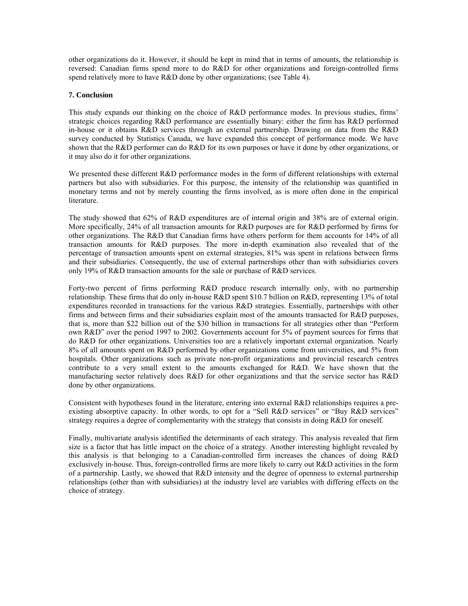other organizations do it. However, it should be kept in mind that in terms of amounts, the relationship is reversed: Canadian firms spend more to do R&D for other organizations and foreign-controlled firms spend relatively more to have R&D done by other organizations; (see Table 4).

#### **7. Conclusion**

This study expands our thinking on the choice of R&D performance modes. In previous studies, firms' strategic choices regarding R&D performance are essentially binary: either the firm has R&D performed in-house or it obtains R&D services through an external partnership. Drawing on data from the R&D survey conducted by Statistics Canada, we have expanded this concept of performance mode. We have shown that the R&D performer can do R&D for its own purposes or have it done by other organizations, or it may also do it for other organizations.

We presented these different R&D performance modes in the form of different relationships with external partners but also with subsidiaries. For this purpose, the intensity of the relationship was quantified in monetary terms and not by merely counting the firms involved, as is more often done in the empirical literature.

The study showed that 62% of R&D expenditures are of internal origin and 38% are of external origin. More specifically, 24% of all transaction amounts for R&D purposes are for R&D performed by firms for other organizations. The R&D that Canadian firms have others perform for them accounts for 14% of all transaction amounts for R&D purposes. The more in-depth examination also revealed that of the percentage of transaction amounts spent on external strategies, 81% was spent in relations between firms and their subsidiaries. Consequently, the use of external partnerships other than with subsidiaries covers only 19% of R&D transaction amounts for the sale or purchase of R&D services.

Forty-two percent of firms performing R&D produce research internally only, with no partnership relationship. These firms that do only in-house R&D spent \$10.7 billion on R&D, representing 13% of total expenditures recorded in transactions for the various R&D strategies. Essentially, partnerships with other firms and between firms and their subsidiaries explain most of the amounts transacted for R&D purposes, that is, more than \$22 billion out of the \$30 billion in transactions for all strategies other than "Perform own R&D" over the period 1997 to 2002. Governments account for 5% of payment sources for firms that do R&D for other organizations. Universities too are a relatively important external organization. Nearly 8% of all amounts spent on R&D performed by other organizations come from universities, and 5% from hospitals. Other organizations such as private non-profit organizations and provincial research centres contribute to a very small extent to the amounts exchanged for R&D. We have shown that the manufacturing sector relatively does R&D for other organizations and that the service sector has R&D done by other organizations.

Consistent with hypotheses found in the literature, entering into external R&D relationships requires a preexisting absorptive capacity. In other words, to opt for a "Sell R&D services" or "Buy R&D services" strategy requires a degree of complementarity with the strategy that consists in doing R&D for oneself.

Finally, multivariate analysis identified the determinants of each strategy. This analysis revealed that firm size is a factor that has little impact on the choice of a strategy. Another interesting highlight revealed by this analysis is that belonging to a Canadian-controlled firm increases the chances of doing R&D exclusively in-house. Thus, foreign-controlled firms are more likely to carry out R&D activities in the form of a partnership. Lastly, we showed that R&D intensity and the degree of openness to external partnership relationships (other than with subsidiaries) at the industry level are variables with differing effects on the choice of strategy.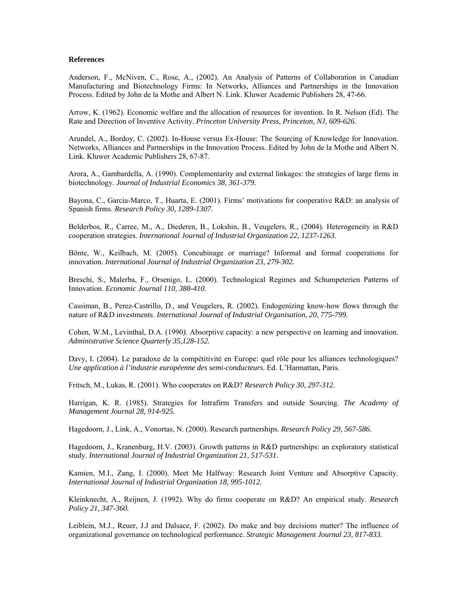#### **References**

Anderson, F., McNiven, C., Rose, A., (2002). An Analysis of Patterns of Collaboration in Canadian Manufacturing and Biotechnology Firms: In Networks, Alliances and Partnerships in the Innovation Process. Edited by John de la Mothe and Albert N. Link. Kluwer Academic Publishers 28, 47-66.

Arrow, K. (1962). Economic welfare and the allocation of resources for invention. In R. Nelson (Ed). The Rate and Direction of Inventive Activity. *Princeton University Press, Princeton, NJ, 609-626.*

Arundel, A., Bordoy, C. (2002). In-House versus Ex-House: The Sourcing of Knowledge for Innovation. Networks, Alliances and Partnerships in the Innovation Process. Edited by John de la Mothe and Albert N. Link. Kluwer Academic Publishers 28, 67-87.

Arora, A., Gambardella, A. (1990). Complementarity and external linkages: the strategies of large firms in biotechnology. *Journal of Industrial Economics 38, 361-379.*

Bayona, C., Garcia-Marco, T., Huarta, E. (2001). Firms' motivations for cooperative R&D: an analysis of Spanish firms. *Research Policy 30, 1289-1307.* 

Belderbos, R., Carree, M., A., Diederen, B., Lokshin, B., Veugelers, R., (2004). Heterogeneity in R&D cooperation strategies. *International Journal of Industrial Organization 22, 1237-1263.* 

Bönte, W., Keilbach, M. (2005). Concubinage or marriage? Informal and formal cooperations for innovation. *International Journal of Industrial Organization 23, 279-302.* 

Breschi, S., Malerba, F., Orsenigo, L. (2000). Technological Regimes and Schumpeterien Patterns of Innovation. *Economic Journal 110, 388-410.* 

Cassiman, B., Perez-Castrillo, D., and Veugelers, R. (2002). Endogenizing know-how flows through the nature of R&D investments. *International Journal of Industrial Organisation, 20, 775-799.* 

Cohen, W.M., Levinthal, D.A. (1990*).* Absorptive capacity: a new perspective on learning and innovation. *Administrative Science Quarterly 35,128-152.* 

Davy, I. (2004). Le paradoxe de la compétitivité en Europe: quel rôle pour les alliances technologiques? *Une application à l'industrie européenne des semi-conducteurs.* Ed. L'Harmattan, Paris.

Fritsch, M., Lukas, R. (2001). Who cooperates on R&D? *Research Policy 30, 297-312.* 

Harrigan, K. R. (1985). Strategies for Intrafirm Transfers and outside Sourcing. *The Academy of Management Journal 28, 914-925.* 

Hagedoorn, J., Link, A., Vonortas, N. (2000). Research partnerships*. Research Policy 29, 567-586.* 

Hagedoorn, J., Kranenburg, H.V. (2003). Growth patterns in R&D partnerships: an exploratory statistical study. *International Journal of Industrial Organization 21, 517-531.* 

Kamien, M.I., Zang, I. (2000). Meet Me Halfway: Research Joint Venture and Absorptive Capacity. *International Journal of Industrial Organization 18, 995-1012.* 

Kleinknecht, A., Reijnen, J. (1992). Why do firms cooperate on R&D? An empirical study. *Research Policy 21, 347-360.* 

Leiblein, M.J., Reuer, J.J and Dalsace, F. (2002). Do make and buy decisions matter? The influence of organizational governance on technological performance. *Strategic Management Journal 23, 817-833.*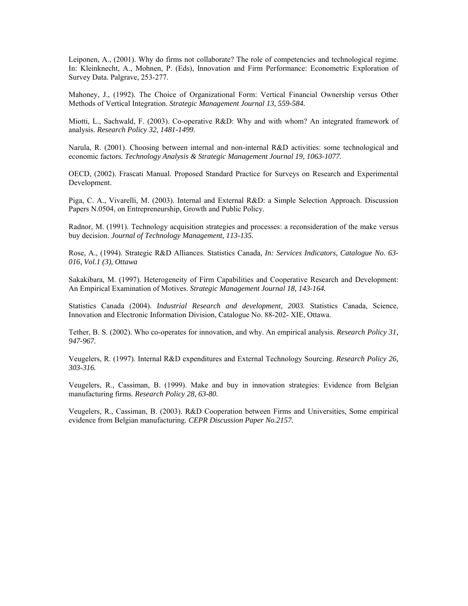Leiponen, A., (2001). Why do firms not collaborate? The role of competencies and technological regime. In: Kleinknecht, A., Mohnen, P. (Eds), Innovation and Firm Performance: Econometric Exploration of Survey Data. Palgrave, 253-277.

Mahoney, J., (1992). The Choice of Organizational Form: Vertical Financial Ownership versus Other Methods of Vertical Integration. *Strategic Management Journal 13, 559-584.* 

Miotti, L., Sachwald, F. (2003). Co-operative R&D: Why and with whom? An integrated framework of analysis. *Research Policy 32, 1481-1499.* 

Narula, R. (2001). Choosing between internal and non-internal R&D activities: some technological and economic factors*. Technology Analysis & Strategic Management Journal 19, 1063-1077.* 

OECD, (2002). Frascati Manual. Proposed Standard Practice for Surveys on Research and Experimental Development.

Piga, C. A., Vivarelli, M. (2003). Internal and External R&D: a Simple Selection Approach. Discussion Papers N.0504, on Entrepreneurship, Growth and Public Policy.

Radnor, M. (1991). Technology acquisition strategies and processes: a reconsideration of the make versus buy decision. *Journal of Technology Management, 113-135.* 

Rose, A., (1994). Strategic R&D Alliances. Statistics Canada*, In: Services Indicators, Catalogue No. 63- 016, Vol.1 (3), Ottawa* 

Sakakibara, M. (1997). Heterogeneity of Firm Capabilities and Cooperative Research and Development: An Empirical Examination of Motives. *Strategic Management Journal 18, 143-164.* 

Statistics Canada (2004). *Industrial Research and development, 2003.* Statistics Canada, Science, Innovation and Electronic Information Division, Catalogue No. 88-202- XIE, Ottawa.

Tether, B. S. (2002). Who co-operates for innovation, and why. An empirical analysis. *Research Policy 31, 947-967.* 

Veugelers, R. (1997). Internal R&D expenditures and External Technology Sourcing. *Research Policy 26, 303-316.* 

Veugelers, R., Cassiman, B. (1999). Make and buy in innovation strategies: Evidence from Belgian manufacturing firms*. Research Policy 28, 63-80.* 

Veugelers, R., Cassiman, B. (2003). R&D Cooperation between Firms and Universities, Some empirical evidence from Belgian manufacturing*. CEPR Discussion Paper No.2157.*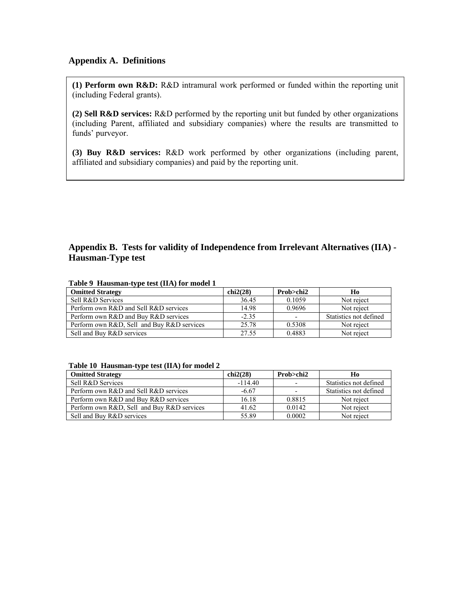## **Appendix A. Definitions**

**(1) Perform own R&D:** R&D intramural work performed or funded within the reporting unit (including Federal grants).

**(2) Sell R&D services:** R&D performed by the reporting unit but funded by other organizations (including Parent, affiliated and subsidiary companies) where the results are transmitted to funds' purveyor.

**(3) Buy R&D services:** R&D work performed by other organizations (including parent, affiliated and subsidiary companies) and paid by the reporting unit.

## **Appendix B. Tests for validity of Independence from Irrelevant Alternatives (IIA) - Hausman-Type test**

| <b>Omitted Strategy</b>                    | chi2(28) | Prob>chi2 | Ho                     |
|--------------------------------------------|----------|-----------|------------------------|
| Sell R&D Services                          | 36.45    | 0.1059    | Not reject             |
| Perform own R&D and Sell R&D services      | 14.98    | 0.9696    | Not reject             |
| Perform own R&D and Buy R&D services       | $-2.35$  |           | Statistics not defined |
| Perform own R&D, Sell and Buy R&D services | 25.78    | 0.5308    | Not reject             |
| Sell and Buy R&D services                  | 27.55    | 0.4883    | Not reject             |

#### **Table 9 Hausman-type test (IIA) for model 1**

#### **Table 10 Hausman-type test (IIA) for model 2**

| <b>Omitted Strategy</b>                    | chi2(28)  | Prob>chi2                | Ho                     |
|--------------------------------------------|-----------|--------------------------|------------------------|
| Sell R&D Services                          | $-114.40$ |                          | Statistics not defined |
| Perform own R&D and Sell R&D services      | $-6.67$   | $\overline{\phantom{0}}$ | Statistics not defined |
| Perform own R&D and Buy R&D services       | 16.18     | 0.8815                   | Not reject             |
| Perform own R&D, Sell and Buy R&D services | 41.62     | 0.0142                   | Not reject             |
| Sell and Buy R&D services                  | 55.89     | 0.0002                   | Not reject             |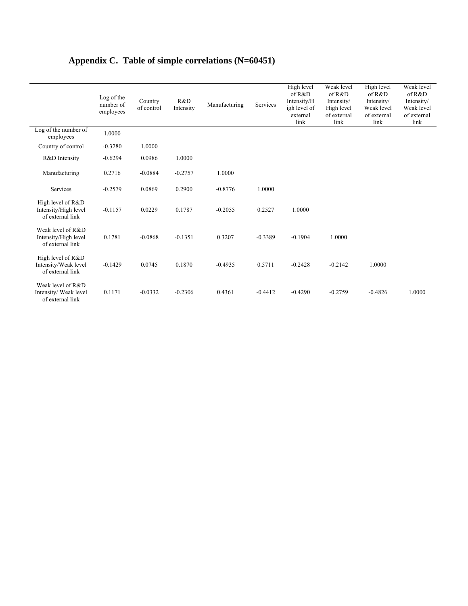# **Appendix C. Table of simple correlations (N=60451)**

|                                                                | Log of the<br>number of<br>employees | Country<br>of control | R&D<br>Intensity | Manufacturing | Services  | High level<br>of R&D<br>Intensity/H<br>igh level of<br>external<br>link | Weak level<br>of R&D<br>Intensity/<br>High level<br>of external<br>link | High level<br>of R&D<br>Intensity/<br>Weak level<br>of external<br>link | Weak level<br>of R&D<br>Intensity/<br>Weak level<br>of external<br>link |
|----------------------------------------------------------------|--------------------------------------|-----------------------|------------------|---------------|-----------|-------------------------------------------------------------------------|-------------------------------------------------------------------------|-------------------------------------------------------------------------|-------------------------------------------------------------------------|
| Log of the number of<br>employees                              | 1.0000                               |                       |                  |               |           |                                                                         |                                                                         |                                                                         |                                                                         |
| Country of control                                             | $-0.3280$                            | 1.0000                |                  |               |           |                                                                         |                                                                         |                                                                         |                                                                         |
| R&D Intensity                                                  | $-0.6294$                            | 0.0986                | 1.0000           |               |           |                                                                         |                                                                         |                                                                         |                                                                         |
| Manufacturing                                                  | 0.2716                               | $-0.0884$             | $-0.2757$        | 1.0000        |           |                                                                         |                                                                         |                                                                         |                                                                         |
| Services                                                       | $-0.2579$                            | 0.0869                | 0.2900           | $-0.8776$     | 1.0000    |                                                                         |                                                                         |                                                                         |                                                                         |
| High level of R&D<br>Intensity/High level<br>of external link  | $-0.1157$                            | 0.0229                | 0.1787           | $-0.2055$     | 0.2527    | 1.0000                                                                  |                                                                         |                                                                         |                                                                         |
| Weak level of R&D<br>Intensity/High level<br>of external link  | 0.1781                               | $-0.0868$             | $-0.1351$        | 0.3207        | $-0.3389$ | $-0.1904$                                                               | 1.0000                                                                  |                                                                         |                                                                         |
| High level of R&D<br>Intensity/Weak level<br>of external link  | $-0.1429$                            | 0.0745                | 0.1870           | $-0.4935$     | 0.5711    | $-0.2428$                                                               | $-0.2142$                                                               | 1.0000                                                                  |                                                                         |
| Weak level of R&D<br>Intensity/ Weak level<br>of external link | 0.1171                               | $-0.0332$             | $-0.2306$        | 0.4361        | $-0.4412$ | $-0.4290$                                                               | $-0.2759$                                                               | $-0.4826$                                                               | 1.0000                                                                  |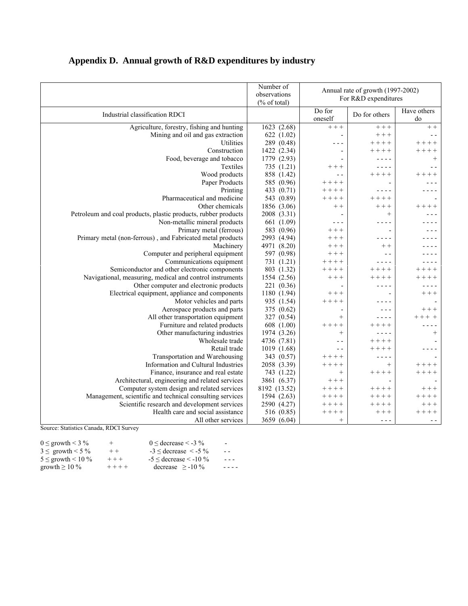|                                                                | Number of<br>observations<br>$(\%$ of total) | Annual rate of growth (1997-2002)<br>For R&D expenditures |                 |                   |
|----------------------------------------------------------------|----------------------------------------------|-----------------------------------------------------------|-----------------|-------------------|
| Industrial classification RDCI                                 |                                              | Do for<br>oneself                                         | Do for others   | Have others<br>do |
| Agriculture, forestry, fishing and hunting                     | 1623 (2.68)                                  | $++ +$                                                    | $++$            | $++$              |
| Mining and oil and gas extraction                              | 622(1.02)                                    | $\overline{a}$                                            | $++ +$          |                   |
| Utilities                                                      | 289 (0.48)                                   |                                                           | $++++$          | $++++ +$          |
| Construction                                                   | 1422 (2.34)                                  | $\overline{a}$                                            | $+ + + +$       | $+++++$           |
| Food, beverage and tobacco                                     | 1779 (2.93)                                  |                                                           |                 | $^{+}$            |
| Textiles                                                       | 735 (1.21)                                   | $++ +$                                                    |                 | $ -$              |
| Wood products                                                  | 858 (1.42)                                   |                                                           | $+++++$         |                   |
| Paper Products                                                 | 585 (0.96)                                   | $+++++$                                                   | $\overline{a}$  |                   |
| Printing                                                       | 433 (0.71)                                   | $++++$                                                    | - - - -         |                   |
| Pharmaceutical and medicine                                    | 543 (0.89)                                   | $++++$                                                    | $++++$          |                   |
| Other chemicals                                                | 1856 (3.06)                                  | $+ +$                                                     | $++ +$          |                   |
| Petroleum and coal products, plastic products, rubber products | 2008 (3.31)                                  |                                                           | $^{+}$          |                   |
| Non-metallic mineral products                                  | 661 (1.09)                                   | - - -                                                     | - - - -         |                   |
| Primary metal (ferrous)                                        | 583 (0.96)                                   | $+++$                                                     |                 |                   |
| Primary metal (non-ferrous), and Fabricated metal products     | 2993 (4.94)                                  | $++ +$                                                    |                 |                   |
| Machinery                                                      | 4971 (8.20)                                  | $++ +$                                                    | $+ +$           |                   |
| Computer and peripheral equipment                              | 597 (0.98)                                   | $++ +$                                                    | - -             |                   |
| Communications equipment                                       | 731 (1.21)                                   | $++++$                                                    |                 |                   |
| Semiconductor and other electronic components                  | 803 (1.32)                                   | $++++$                                                    | $+++++$         | $++ +$            |
| Navigational, measuring, medical and control instruments       | 1554 (2.56)                                  | $++ +$                                                    | $++++$          | $+++$             |
| Other computer and electronic products                         | 221 (0.36)                                   |                                                           | - - - -         |                   |
| Electrical equipment, appliance and components                 | 1180 (1.94)                                  | $++ +$                                                    |                 | $++ +$            |
| Motor vehicles and parts                                       | 935 (1.54)                                   | $++++$                                                    |                 |                   |
| Aerospace products and parts                                   | 375 (0.62)                                   | $\overline{\phantom{a}}$                                  | - - -           | $+ + +$           |
| All other transportation equipment                             | 327 (0.54)                                   | $^{+}$                                                    | - - - -         |                   |
| Furniture and related products                                 | 608 (1.00)                                   | $++++$                                                    | $++++$          |                   |
| Other manufacturing industries                                 | 1974 (3.26)                                  | $+$                                                       | - - - -         | $^{+}$            |
| Wholesale trade                                                | 4736 (7.81)                                  | $ -$                                                      | $++++$          |                   |
| Retail trade                                                   | 1019 (1.68)                                  | $ -$                                                      | $+ + + +$       |                   |
| Transportation and Warehousing                                 | 343 (0.57)                                   | $++++$                                                    | - - - -         |                   |
| Information and Cultural Industries                            | 2058 (3.39)                                  | $++++$                                                    | $\! + \!\!\!\!$ | $+++++$           |
| Finance, insurance and real estate                             | 743 (1.22)                                   | $\! + \!\!\!\!$                                           | $+++++$         | $+++++$           |
| Architectural, engineering and related services                | 3861 (6.37)                                  | $++ +$                                                    |                 |                   |
| Computer system design and related services                    | 8192 (13.52)                                 | $++++$                                                    | $++++$          | $++ +$            |
| Management, scientific and technical consulting services       | 1594 (2.63)                                  | $++++$                                                    | $++++$          |                   |
| Scientific research and development services                   | 2590 (4.27)                                  | $+ + + +$                                                 | $+ + + +$       | $++ +$            |
| Health care and social assistance                              | 516 (0.85)                                   | $++++$                                                    | $++ +$          | $+ +$             |
| All other services                                             | 3659 (6.04)                                  | $+$                                                       | - - -           | $- -$             |

# **Appendix D. Annual growth of R&D expenditures by industry**

Source: Statistics Canada, RDCI Survey

| $0 \le$ growth < 3 %      | $^+$      | $0 \leq$ decrease < -3 %          | ۰.        |
|---------------------------|-----------|-----------------------------------|-----------|
| $3 \le$ growth < 5 %      | $++$      | $-3 \leq$ decrease $\leq$ -5 $\%$ | $ -$      |
| $5 \le$ growth $\le$ 10 % | $++ +$    | $-5 \leq$ decrease $\leq$ -10 %   | $- - -$   |
| growth $\geq 10\%$        | $+ + + +$ | decrease $\ge$ -10 %              | $- - - -$ |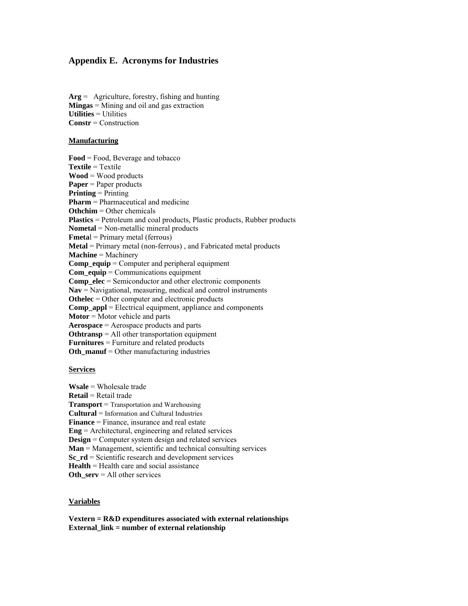## **Appendix E. Acronyms for Industries**

**Arg** = Agriculture, forestry, fishing and hunting **Mingas** = Mining and oil and gas extraction **Utilities** = Utilities **Constr** = Construction

#### **Manufacturing**

**Food** = Food, Beverage and tobacco **Textile** = Textile **Wood** = Wood products **Paper** = Paper products **Printing** = Printing **Pharm** = Pharmaceutical and medicine **Othchim** = Other chemicals **Plastics** = Petroleum and coal products, Plastic products, Rubber products **Nometal** = Non-metallic mineral products **Fmeta**l = Primary metal (ferrous) **Metal** = Primary metal (non-ferrous) , and Fabricated metal products **Machine** = Machinery **Comp\_equip** = Computer and peripheral equipment **Com** equip = Communications equipment **Comp\_elec** = Semiconductor and other electronic components **Nav** = Navigational, measuring, medical and control instruments **Othelec** = Other computer and electronic products **Comp\_appl** = Electrical equipment, appliance and components **Motor** = Motor vehicle and parts **Aerospace** = Aerospace products and parts **Othtransp** = All other transportation equipment **Furnitures** = Furniture and related products **Oth\_manuf** = Other manufacturing industries

#### **Services**

**Wsale** = Wholesale trade **Retail** = Retail trade **Transport** = Transportation and Warehousing **Cultural** = Information and Cultural Industries **Finance** = Finance, insurance and real estate **Eng** = Architectural, engineering and related services **Design** = Computer system design and related services **Man** = Management, scientific and technical consulting services **Sc\_rd** = Scientific research and development services **Health** = Health care and social assistance **Oth** serv = All other services

#### **Variables**

**Vextern = R&D expenditures associated with external relationships**  External link = number of external relationship